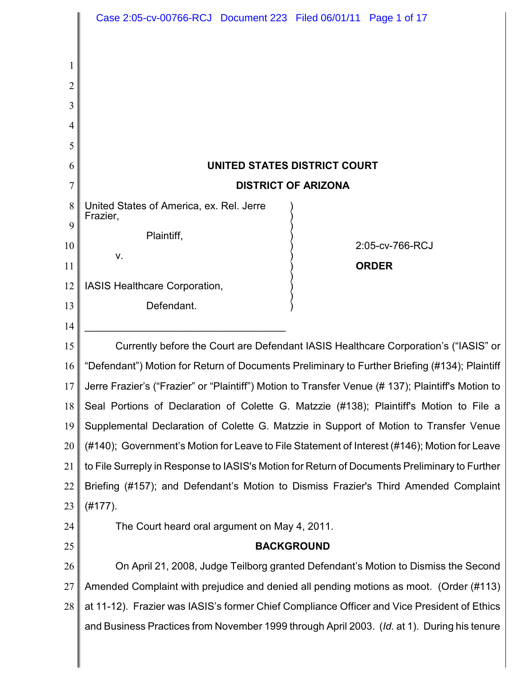|                | Case 2:05-cv-00766-RCJ Document 223 Filed 06/01/11 Page 1 of 17                                   |
|----------------|---------------------------------------------------------------------------------------------------|
|                |                                                                                                   |
|                |                                                                                                   |
| 2              |                                                                                                   |
| 3              |                                                                                                   |
| 4              |                                                                                                   |
| 5              |                                                                                                   |
| 6              | UNITED STATES DISTRICT COURT                                                                      |
| $\overline{7}$ | <b>DISTRICT OF ARIZONA</b>                                                                        |
| 8              | United States of America, ex. Rel. Jerre<br>Frazier,                                              |
| 9              | Plaintiff,                                                                                        |
| 10             | 2:05-cv-766-RCJ<br>v.                                                                             |
| 11             | <b>ORDER</b>                                                                                      |
| 12             | IASIS Healthcare Corporation,                                                                     |
| 13             | Defendant.                                                                                        |
| 14             |                                                                                                   |
| 15             | Currently before the Court are Defendant IASIS Healthcare Corporation's ("IASIS" or               |
| 16             | "Defendant") Motion for Return of Documents Preliminary to Further Briefing (#134); Plaintiff     |
| 17             | Jerre Frazier's ("Frazier" or "Plaintiff") Motion to Transfer Venue (#137); Plaintiff's Motion to |
| 18             | Seal Portions of Declaration of Colette G. Matzzie (#138); Plaintiff's Motion to File a           |
| 19             | Supplemental Declaration of Colette G. Matzzie in Support of Motion to Transfer Venue             |
| 20             | (#140); Government's Motion for Leave to File Statement of Interest (#146); Motion for Leave      |
| 21             | to File Surreply in Response to IASIS's Motion for Return of Documents Preliminary to Further     |
| 22             | Briefing (#157); and Defendant's Motion to Dismiss Frazier's Third Amended Complaint              |
| 23             | $(H177)$ .                                                                                        |
| 24             | The Court heard oral argument on May 4, 2011.                                                     |
| 25             | <b>BACKGROUND</b>                                                                                 |
| 26             | On April 21, 2008, Judge Teilborg granted Defendant's Motion to Dismiss the Second                |
| 27             | Amended Complaint with prejudice and denied all pending motions as moot. (Order (#113)            |
| 28             | at 11-12). Frazier was IASIS's former Chief Compliance Officer and Vice President of Ethics       |
|                | and Business Practices from November 1999 through April 2003. (Id. at 1). During his tenure       |
|                |                                                                                                   |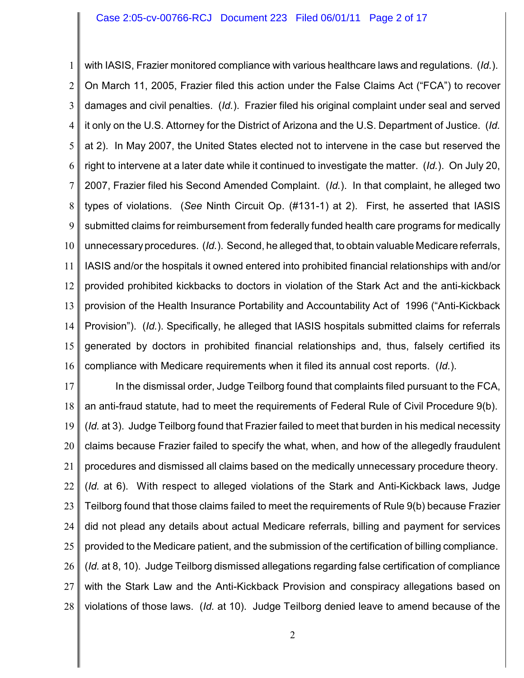1 2 3 4 5 6 7 8 9 10 11 12 13 14 15 16 with IASIS, Frazier monitored compliance with various healthcare laws and regulations. (*Id.*). On March 11, 2005, Frazier filed this action under the False Claims Act ("FCA") to recover damages and civil penalties. (*Id.*). Frazier filed his original complaint under seal and served it only on the U.S. Attorney for the District of Arizona and the U.S. Department of Justice. (*Id.* at 2). In May 2007, the United States elected not to intervene in the case but reserved the right to intervene at a later date while it continued to investigate the matter. (*Id.*). On July 20, 2007, Frazier filed his Second Amended Complaint. (*Id.*). In that complaint, he alleged two types of violations. (*See* Ninth Circuit Op. (#131-1) at 2). First, he asserted that IASIS submitted claims for reimbursement from federally funded health care programs for medically unnecessary procedures. (*Id.*). Second, he alleged that, to obtain valuable Medicare referrals, IASIS and/or the hospitals it owned entered into prohibited financial relationships with and/or provided prohibited kickbacks to doctors in violation of the Stark Act and the anti-kickback provision of the Health Insurance Portability and Accountability Act of 1996 ("Anti-Kickback Provision"). (*Id.*). Specifically, he alleged that IASIS hospitals submitted claims for referrals generated by doctors in prohibited financial relationships and, thus, falsely certified its compliance with Medicare requirements when it filed its annual cost reports. (*Id.*).

17 18 19 20 21 22 23 24 25 26 27 28 In the dismissal order, Judge Teilborg found that complaints filed pursuant to the FCA, an anti-fraud statute, had to meet the requirements of Federal Rule of Civil Procedure 9(b). (*Id.* at 3). Judge Teilborg found that Frazier failed to meet that burden in his medical necessity claims because Frazier failed to specify the what, when, and how of the allegedly fraudulent procedures and dismissed all claims based on the medically unnecessary procedure theory. (*Id.* at 6). With respect to alleged violations of the Stark and Anti-Kickback laws, Judge Teilborg found that those claims failed to meet the requirements of Rule 9(b) because Frazier did not plead any details about actual Medicare referrals, billing and payment for services provided to the Medicare patient, and the submission of the certification of billing compliance. (*Id.* at 8, 10). Judge Teilborg dismissed allegations regarding false certification of compliance with the Stark Law and the Anti-Kickback Provision and conspiracy allegations based on violations of those laws. (*Id.* at 10). Judge Teilborg denied leave to amend because of the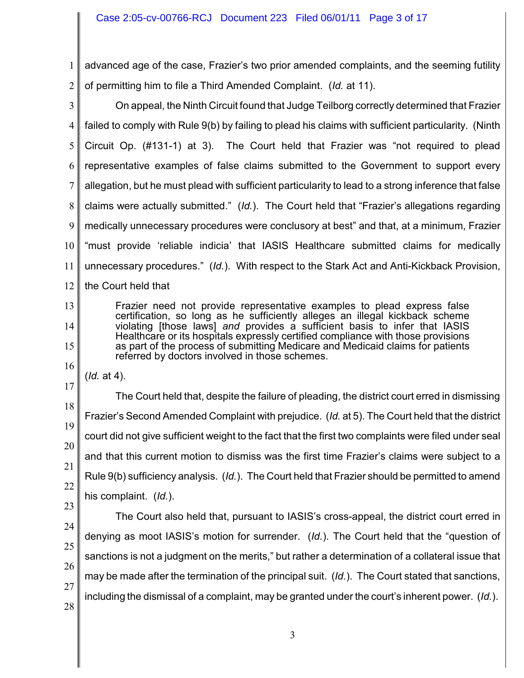1 2 advanced age of the case, Frazier's two prior amended complaints, and the seeming futility of permitting him to file a Third Amended Complaint. (*Id.* at 11).

3 4 5 6 7 8 9 10 11 12 On appeal, the Ninth Circuit found that Judge Teilborg correctly determined that Frazier failed to comply with Rule 9(b) by failing to plead his claims with sufficient particularity. (Ninth Circuit Op. (#131-1) at 3). The Court held that Frazier was "not required to plead representative examples of false claims submitted to the Government to support every allegation, but he must plead with sufficient particularity to lead to a strong inference that false claims were actually submitted." (*Id.*). The Court held that "Frazier's allegations regarding medically unnecessary procedures were conclusory at best" and that, at a minimum, Frazier "must provide 'reliable indicia' that IASIS Healthcare submitted claims for medically unnecessary procedures." (*Id.*). With respect to the Stark Act and Anti-Kickback Provision, the Court held that

Frazier need not provide representative examples to plead express false certification, so long as he sufficiently alleges an illegal kickback scheme violating [those laws] *and* provides a sufficient basis to infer that IASIS Healthcare or its hospitals expressly certified compliance with those provisions as part of the process of submitting Medicare and Medicaid claims for patients referred by doctors involved in those schemes.

(*Id.* at 4).

17 18 19 20 21 22 The Court held that, despite the failure of pleading, the district court erred in dismissing Frazier's Second Amended Complaint with prejudice. (*Id.* at 5). The Court held that the district court did not give sufficient weight to the fact that the first two complaints were filed under seal and that this current motion to dismiss was the first time Frazier's claims were subject to a Rule 9(b) sufficiency analysis. (*Id.*). The Court held that Frazier should be permitted to amend his complaint. (*Id.*).

23

13

14

15

16

24 25 26 27 28 The Court also held that, pursuant to IASIS's cross-appeal, the district court erred in denying as moot IASIS's motion for surrender. (*Id.*). The Court held that the "question of sanctions is not a judgment on the merits," but rather a determination of a collateral issue that may be made after the termination of the principal suit. (*Id.*). The Court stated that sanctions, including the dismissal of a complaint, may be granted under the court's inherent power. (*Id.*).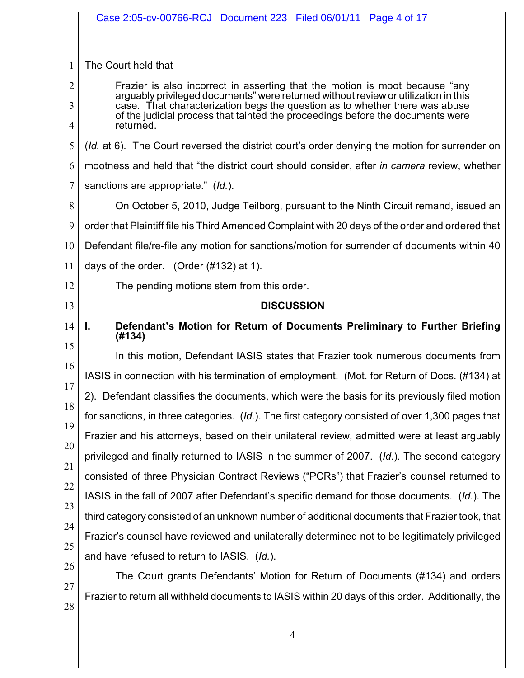|                                              | Case 2:05-cv-00766-RCJ Document 223 Filed 06/01/11 Page 4 of 17                                                                                                   |
|----------------------------------------------|-------------------------------------------------------------------------------------------------------------------------------------------------------------------|
| 1                                            | The Court held that                                                                                                                                               |
| $\overline{2}$                               | Frazier is also incorrect in asserting that the motion is moot because "any<br>arguably privileged documents" were returned without review or utilization in this |
| 3                                            | case. That characterization begs the question as to whether there was abuse<br>of the judicial process that tainted the proceedings before the documents were     |
| 4                                            | returned.                                                                                                                                                         |
| 5                                            | (Id. at 6). The Court reversed the district court's order denying the motion for surrender on                                                                     |
| 6                                            | mootness and held that "the district court should consider, after in camera review, whether                                                                       |
| $\tau$                                       | sanctions are appropriate." (Id.).                                                                                                                                |
| 8                                            | On October 5, 2010, Judge Teilborg, pursuant to the Ninth Circuit remand, issued an                                                                               |
| 9                                            | order that Plaintiff file his Third Amended Complaint with 20 days of the order and ordered that                                                                  |
| 10                                           | Defendant file/re-file any motion for sanctions/motion for surrender of documents within 40                                                                       |
| 11                                           | days of the order. (Order (#132) at 1).                                                                                                                           |
| 12                                           | The pending motions stem from this order.                                                                                                                         |
| 13                                           | <b>DISCUSSION</b>                                                                                                                                                 |
|                                              |                                                                                                                                                                   |
|                                              | Defendant's Motion for Return of Documents Preliminary to Further Briefing<br>Ъ.<br>(#134)                                                                        |
|                                              | In this motion, Defendant IASIS states that Frazier took numerous documents from                                                                                  |
|                                              | IASIS in connection with his termination of employment. (Mot. for Return of Docs. (#134) at                                                                       |
|                                              | 2). Defendant classifies the documents, which were the basis for its previously filed motion                                                                      |
|                                              | for sanctions, in three categories. (Id.). The first category consisted of over 1,300 pages that                                                                  |
|                                              | Frazier and his attorneys, based on their unilateral review, admitted were at least arguably                                                                      |
|                                              | privileged and finally returned to IASIS in the summer of 2007. (Id.). The second category                                                                        |
| 14<br>15<br>16<br>17<br>18<br>19<br>20<br>21 | consisted of three Physician Contract Reviews ("PCRs") that Frazier's counsel returned to                                                                         |
|                                              | IASIS in the fall of 2007 after Defendant's specific demand for those documents. (Id.). The                                                                       |
| 22<br>23                                     | third category consisted of an unknown number of additional documents that Frazier took, that                                                                     |
| 24                                           | Frazier's counsel have reviewed and unilaterally determined not to be legitimately privileged                                                                     |
| 25                                           | and have refused to return to IASIS. (Id.).                                                                                                                       |
| 26<br>27                                     | The Court grants Defendants' Motion for Return of Documents (#134) and orders                                                                                     |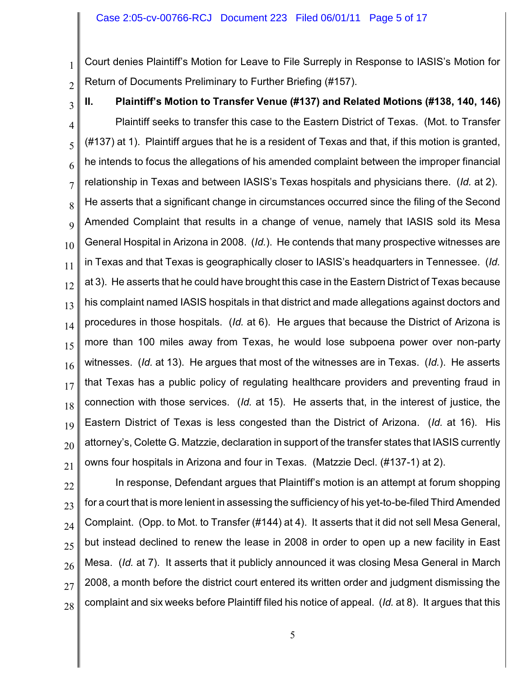Court denies Plaintiff's Motion for Leave to File Surreply in Response to IASIS's Motion for Return of Documents Preliminary to Further Briefing (#157).

2

1

3 4 5 6 7 8 9 10 11 12 13 14 15 16 17 18 19 20 21 **II. Plaintiff's Motion to Transfer Venue (#137) and Related Motions (#138, 140, 146)** Plaintiff seeks to transfer this case to the Eastern District of Texas. (Mot. to Transfer (#137) at 1). Plaintiff argues that he is a resident of Texas and that, if this motion is granted, he intends to focus the allegations of his amended complaint between the improper financial relationship in Texas and between IASIS's Texas hospitals and physicians there. (*Id.* at 2). He asserts that a significant change in circumstances occurred since the filing of the Second Amended Complaint that results in a change of venue, namely that IASIS sold its Mesa General Hospital in Arizona in 2008. (*Id.*). He contends that many prospective witnesses are in Texas and that Texas is geographically closer to IASIS's headquarters in Tennessee. (*Id.* at 3). He asserts that he could have brought this case in the Eastern District of Texas because his complaint named IASIS hospitals in that district and made allegations against doctors and procedures in those hospitals. (*Id.* at 6). He argues that because the District of Arizona is more than 100 miles away from Texas, he would lose subpoena power over non-party witnesses. (*Id.* at 13). He argues that most of the witnesses are in Texas. (*Id.*). He asserts that Texas has a public policy of regulating healthcare providers and preventing fraud in connection with those services. (*Id.* at 15). He asserts that, in the interest of justice, the Eastern District of Texas is less congested than the District of Arizona. (*Id.* at 16). His attorney's, Colette G. Matzzie, declaration in support of the transfer states that IASIS currently owns four hospitals in Arizona and four in Texas. (Matzzie Decl. (#137-1) at 2).

22 23 24 25 26 27 28 In response, Defendant argues that Plaintiff's motion is an attempt at forum shopping

for a court that is more lenient in assessing the sufficiency of his yet-to-be-filed Third Amended Complaint. (Opp. to Mot. to Transfer (#144) at 4). It asserts that it did not sell Mesa General, but instead declined to renew the lease in 2008 in order to open up a new facility in East Mesa. (*Id.* at 7). It asserts that it publicly announced it was closing Mesa General in March 2008, a month before the district court entered its written order and judgment dismissing the complaint and six weeks before Plaintiff filed his notice of appeal. (*Id.* at 8). It argues that this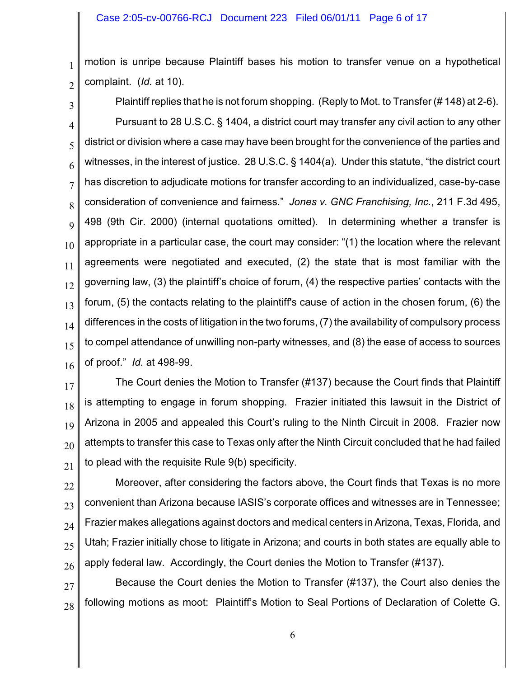1 2 motion is unripe because Plaintiff bases his motion to transfer venue on a hypothetical complaint. (*Id.* at 10).

3

4

5

6

7

8

9

10

11

12

13

14

15

Plaintiff replies that he is not forum shopping. (Reply to Mot. to Transfer (# 148) at 2-6). Pursuant to 28 U.S.C. § 1404, a district court may transfer any civil action to any other district or division where a case may have been brought for the convenience of the parties and witnesses, in the interest of justice. 28 U.S.C. § 1404(a). Under this statute, "the district court has discretion to adjudicate motions for transfer according to an individualized, case-by-case consideration of convenience and fairness." *Jones v. GNC Franchising, Inc.*, 211 F.3d 495, 498 (9th Cir. 2000) (internal quotations omitted). In determining whether a transfer is appropriate in a particular case, the court may consider: "(1) the location where the relevant agreements were negotiated and executed, (2) the state that is most familiar with the governing law, (3) the plaintiff's choice of forum, (4) the respective parties' contacts with the forum, (5) the contacts relating to the plaintiff's cause of action in the chosen forum, (6) the differences in the costs of litigation in the two forums, (7) the availability of compulsory process to compel attendance of unwilling non-party witnesses, and (8) the ease of access to sources of proof." *Id.* at 498-99.

16

17 18 19 20 21 The Court denies the Motion to Transfer (#137) because the Court finds that Plaintiff is attempting to engage in forum shopping. Frazier initiated this lawsuit in the District of Arizona in 2005 and appealed this Court's ruling to the Ninth Circuit in 2008. Frazier now attempts to transfer this case to Texas only after the Ninth Circuit concluded that he had failed to plead with the requisite Rule 9(b) specificity.

22 23 24 25 26 Moreover, after considering the factors above, the Court finds that Texas is no more convenient than Arizona because IASIS's corporate offices and witnesses are in Tennessee; Frazier makes allegations against doctors and medical centers in Arizona, Texas, Florida, and Utah; Frazier initially chose to litigate in Arizona; and courts in both states are equally able to apply federal law. Accordingly, the Court denies the Motion to Transfer (#137).

27 28 Because the Court denies the Motion to Transfer (#137), the Court also denies the following motions as moot: Plaintiff's Motion to Seal Portions of Declaration of Colette G.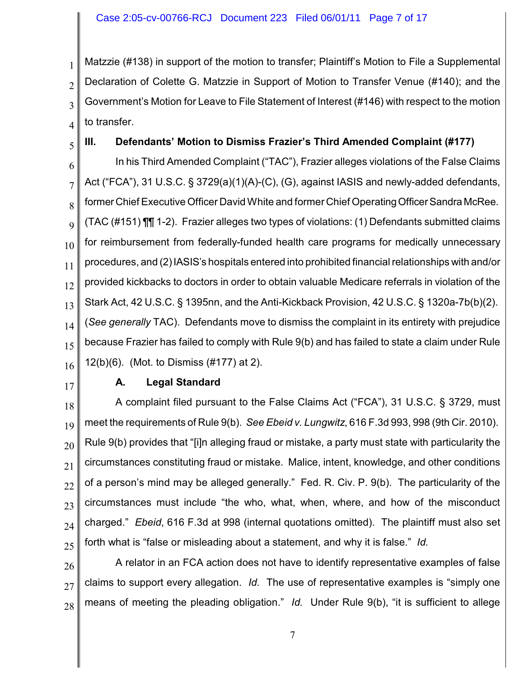Matzzie (#138) in support of the motion to transfer; Plaintiff's Motion to File a Supplemental Declaration of Colette G. Matzzie in Support of Motion to Transfer Venue (#140); and the Government's Motion for Leave to File Statement of Interest (#146) with respect to the motion to transfer.

**III. Defendants' Motion to Dismiss Frazier's Third Amended Complaint (#177)**

6 7 8 9 10 11 12 13 14 15 16 In his Third Amended Complaint ("TAC"), Frazier alleges violations of the False Claims Act ("FCA"), 31 U.S.C. § 3729(a)(1)(A)-(C), (G), against IASIS and newly-added defendants, former Chief Executive Officer David White and former Chief Operating Officer Sandra McRee. (TAC (#151) ¶¶ 1-2). Frazier alleges two types of violations: (1) Defendants submitted claims for reimbursement from federally-funded health care programs for medically unnecessary procedures, and (2)IASIS's hospitals entered into prohibited financial relationships with and/or provided kickbacks to doctors in order to obtain valuable Medicare referrals in violation of the Stark Act, 42 U.S.C. § 1395nn, and the Anti-Kickback Provision, 42 U.S.C. § 1320a-7b(b)(2). (*See generally* TAC). Defendants move to dismiss the complaint in its entirety with prejudice because Frazier has failed to comply with Rule 9(b) and has failed to state a claim under Rule 12(b)(6). (Mot. to Dismiss (#177) at 2).

17

1

2

3

4

5

## **A. Legal Standard**

18 19 20 21 22 23 24 25 A complaint filed pursuant to the False Claims Act ("FCA"), 31 U.S.C. § 3729, must meet the requirements of Rule 9(b). *See Ebeid v. Lungwitz*, 616 F.3d 993, 998 (9th Cir. 2010). Rule 9(b) provides that "[i]n alleging fraud or mistake, a party must state with particularity the circumstances constituting fraud or mistake. Malice, intent, knowledge, and other conditions of a person's mind may be alleged generally." Fed. R. Civ. P. 9(b). The particularity of the circumstances must include "the who, what, when, where, and how of the misconduct charged." *Ebeid*, 616 F.3d at 998 (internal quotations omitted). The plaintiff must also set forth what is "false or misleading about a statement, and why it is false." *Id.*

26 27 28 A relator in an FCA action does not have to identify representative examples of false claims to support every allegation. *Id.* The use of representative examples is "simply one means of meeting the pleading obligation." *Id.* Under Rule 9(b), "it is sufficient to allege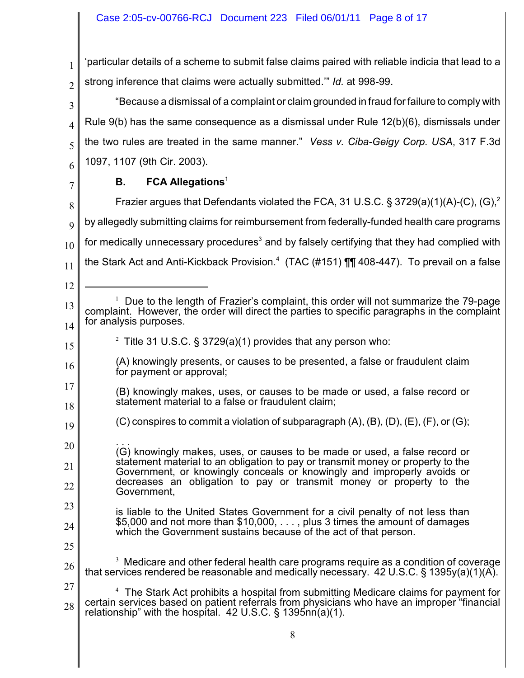1 2 'particular details of a scheme to submit false claims paired with reliable indicia that lead to a strong inference that claims were actually submitted.'" *Id.* at 998-99.

3 4 5 6 "Because a dismissal of a complaint or claim grounded in fraud for failure to comply with Rule 9(b) has the same consequence as a dismissal under Rule 12(b)(6), dismissals under the two rules are treated in the same manner." *Vess v. Ciba-Geigy Corp. USA*, 317 F.3d 1097, 1107 (9th Cir. 2003).

7

12

## **B. FCA Allegations**<sup>1</sup>

8 9 10 11 Frazier argues that Defendants violated the FCA, 31 U.S.C. § 3729(a)(1)(A)-(C), (G),<sup>2</sup> by allegedly submitting claims for reimbursement from federally-funded health care programs for medically unnecessary procedures<sup>3</sup> and by falsely certifying that they had complied with the Stark Act and Anti-Kickback Provision.<sup>4</sup> (TAC (#151) **[1]** 408-447). To prevail on a false

<sup>13</sup> 14 15 16 17 18 19 20 21 22 23 24 25 26 27 28  $1$  Due to the length of Frazier's complaint, this order will not summarize the 79-page complaint. However, the order will direct the parties to specific paragraphs in the complaint for analysis purposes. <sup>2</sup> Title 31 U.S.C. § 3729(a)(1) provides that any person who: (A) knowingly presents, or causes to be presented, a false or fraudulent claim for payment or approval; (B) knowingly makes, uses, or causes to be made or used, a false record or statement material to a false or fraudulent claim;  $(C)$  conspires to commit a violation of subparagraph  $(A)$ ,  $(B)$ ,  $(D)$ ,  $(E)$ ,  $(F)$ , or  $(G)$ ; . . . (G) knowingly makes, uses, or causes to be made or used, a false record or statement material to an obligation to pay or transmit money or property to the Government, or knowingly conceals or knowingly and improperly avoids or decreases an obligation to pay or transmit money or property to the Government, is liable to the United States Government for a civil penalty of not less than \$5,000 and not more than \$10,000, . . . , plus 3 times the amount of damages which the Government sustains because of the act of that person.  $3\,$  Medicare and other federal health care programs require as a condition of coverage that services rendered be reasonable and medically necessary. 42 U.S.C. § 1395y(a)(1)(A).  $<sup>4</sup>$  The Stark Act prohibits a hospital from submitting Medicare claims for payment for</sup> certain services based on patient referrals from physicians who have an improper "financial relationship" with the hospital. 42 U.S.C. § 1395nn(a)(1).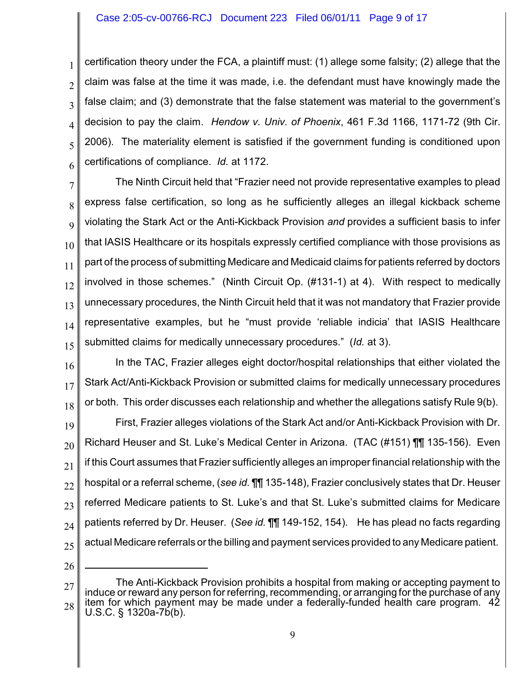certification theory under the FCA, a plaintiff must: (1) allege some falsity; (2) allege that the claim was false at the time it was made, i.e. the defendant must have knowingly made the false claim; and (3) demonstrate that the false statement was material to the government's decision to pay the claim. *Hendow v. Univ. of Phoenix*, 461 F.3d 1166, 1171-72 (9th Cir. 2006). The materiality element is satisfied if the government funding is conditioned upon certifications of compliance. *Id.* at 1172.

7 8 9 10 11 12 13 14 15 The Ninth Circuit held that "Frazier need not provide representative examples to plead express false certification, so long as he sufficiently alleges an illegal kickback scheme violating the Stark Act or the Anti-Kickback Provision *and* provides a sufficient basis to infer that IASIS Healthcare or its hospitals expressly certified compliance with those provisions as part of the process of submitting Medicare and Medicaid claims for patients referred by doctors involved in those schemes." (Ninth Circuit Op. (#131-1) at 4). With respect to medically unnecessary procedures, the Ninth Circuit held that it was not mandatory that Frazier provide representative examples, but he "must provide 'reliable indicia' that IASIS Healthcare submitted claims for medically unnecessary procedures." (*Id.* at 3).

16 17 18 In the TAC, Frazier alleges eight doctor/hospital relationships that either violated the Stark Act/Anti-Kickback Provision or submitted claims for medically unnecessary procedures or both. This order discusses each relationship and whether the allegations satisfy Rule 9(b).

19 20 21 22 23 24 25 First, Frazier alleges violations of the Stark Act and/or Anti-Kickback Provision with Dr. Richard Heuser and St. Luke's Medical Center in Arizona. (TAC (#151) ¶¶ 135-156). Even if this Court assumes that Frazier sufficiently alleges an improper financial relationship with the hospital or a referral scheme, (*see id.* ¶¶ 135-148), Frazier conclusively states that Dr. Heuser referred Medicare patients to St. Luke's and that St. Luke's submitted claims for Medicare patients referred by Dr. Heuser. (*See id.* ¶¶ 149-152, 154). He has plead no facts regarding actual Medicare referrals or the billing and payment services provided to any Medicare patient.

26

1

2

3

4

5

<sup>27</sup> 28 The Anti-Kickback Provision prohibits a hospital from making or accepting payment to induce or reward any person for referring, recommending, or arranging for the purchase of any item for which payment may be made under a federally-funded health care program. 42 U.S.C. § 1320a-7b(b).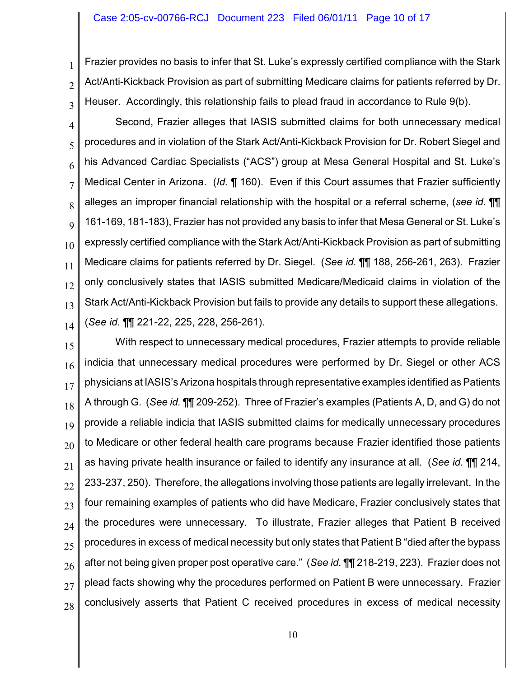1

2

3

Frazier provides no basis to infer that St. Luke's expressly certified compliance with the Stark Act/Anti-Kickback Provision as part of submitting Medicare claims for patients referred by Dr. Heuser. Accordingly, this relationship fails to plead fraud in accordance to Rule 9(b).

4 5 6 7 8 9 10 11 12 13 14 Second, Frazier alleges that IASIS submitted claims for both unnecessary medical procedures and in violation of the Stark Act/Anti-Kickback Provision for Dr. Robert Siegel and his Advanced Cardiac Specialists ("ACS") group at Mesa General Hospital and St. Luke's Medical Center in Arizona. (*Id.* ¶ 160). Even if this Court assumes that Frazier sufficiently alleges an improper financial relationship with the hospital or a referral scheme, (*see id.* ¶¶ 161-169, 181-183), Frazier has not provided any basis to infer that Mesa General or St. Luke's expressly certified compliance with the Stark Act/Anti-Kickback Provision as part of submitting Medicare claims for patients referred by Dr. Siegel. (*See id.* ¶¶ 188, 256-261, 263). Frazier only conclusively states that IASIS submitted Medicare/Medicaid claims in violation of the Stark Act/Anti-Kickback Provision but fails to provide any details to support these allegations. (*See id.* ¶¶ 221-22, 225, 228, 256-261).

15 16 17 18 19 20 21 22 23 24 25 26 27 28 With respect to unnecessary medical procedures, Frazier attempts to provide reliable indicia that unnecessary medical procedures were performed by Dr. Siegel or other ACS physicians at IASIS's Arizona hospitals through representative examples identified as Patients A through G. (*See id.* ¶¶ 209-252). Three of Frazier's examples (Patients A, D, and G) do not provide a reliable indicia that IASIS submitted claims for medically unnecessary procedures to Medicare or other federal health care programs because Frazier identified those patients as having private health insurance or failed to identify any insurance at all. (*See id.* ¶¶ 214, 233-237, 250). Therefore, the allegations involving those patients are legally irrelevant. In the four remaining examples of patients who did have Medicare, Frazier conclusively states that the procedures were unnecessary. To illustrate, Frazier alleges that Patient B received procedures in excess of medical necessity but only states that Patient B "died after the bypass after not being given proper post operative care." (*See id.* ¶¶ 218-219, 223). Frazier does not plead facts showing why the procedures performed on Patient B were unnecessary. Frazier conclusively asserts that Patient C received procedures in excess of medical necessity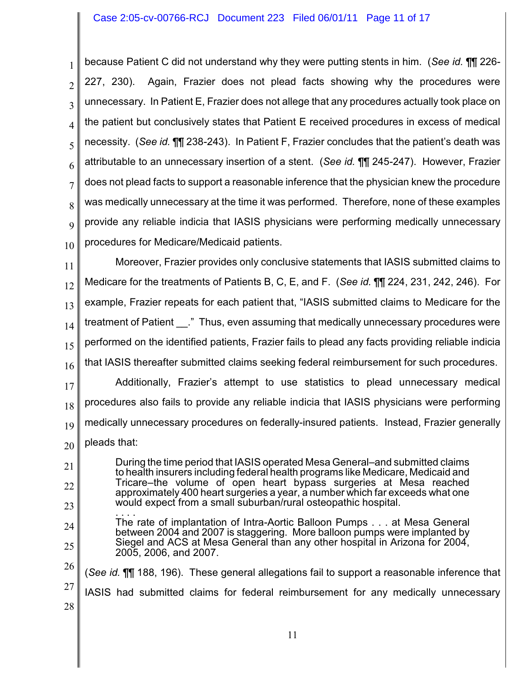1 2 3 4 5 6 7 8 9 10 because Patient C did not understand why they were putting stents in him. (*See id.* ¶¶ 226- 227, 230). Again, Frazier does not plead facts showing why the procedures were unnecessary. In Patient E, Frazier does not allege that any procedures actually took place on the patient but conclusively states that Patient E received procedures in excess of medical necessity. (*See id.* ¶¶ 238-243). In Patient F, Frazier concludes that the patient's death was attributable to an unnecessary insertion of a stent. (*See id.* ¶¶ 245-247). However, Frazier does not plead facts to support a reasonable inference that the physician knew the procedure was medically unnecessary at the time it was performed. Therefore, none of these examples provide any reliable indicia that IASIS physicians were performing medically unnecessary procedures for Medicare/Medicaid patients.

11 12 13 14 15 16 17 18 19 Moreover, Frazier provides only conclusive statements that IASIS submitted claims to Medicare for the treatments of Patients B, C, E, and F. (*See id.* ¶¶ 224, 231, 242, 246). For example, Frazier repeats for each patient that, "IASIS submitted claims to Medicare for the treatment of Patient . " Thus, even assuming that medically unnecessary procedures were performed on the identified patients, Frazier fails to plead any facts providing reliable indicia that IASIS thereafter submitted claims seeking federal reimbursement for such procedures. Additionally, Frazier's attempt to use statistics to plead unnecessary medical procedures also fails to provide any reliable indicia that IASIS physicians were performing medically unnecessary procedures on federally-insured patients. Instead, Frazier generally

20 pleads that:

21 22 23 During the time period that IASIS operated Mesa General–and submitted claims to health insurers including federal health programs like Medicare, Medicaid and Tricare–the volume of open heart bypass surgeries at Mesa reached approximately 400 heart surgeries a year, a number which far exceeds what one would expect from a small suburban/rural osteopathic hospital.

- 24 25 . . . . The rate of implantation of Intra-Aortic Balloon Pumps . . . at Mesa General between 2004 and 2007 is staggering. More balloon pumps were implanted by Siegel and ACS at Mesa General than any other hospital in Arizona for 2004, 2005, 2006, and 2007.
- 26 (*See id.* ¶¶ 188, 196). These general allegations fail to support a reasonable inference that
- 27 IASIS had submitted claims for federal reimbursement for any medically unnecessary
- 28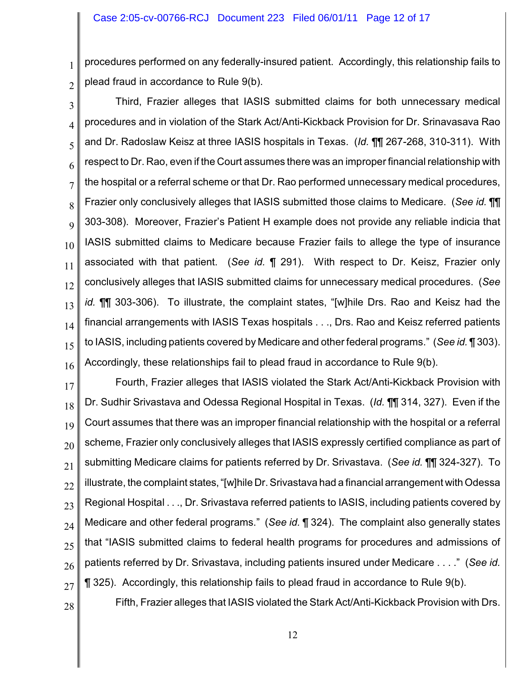1 2 procedures performed on any federally-insured patient. Accordingly, this relationship fails to plead fraud in accordance to Rule 9(b).

3 4 5 6 7 8 9 10 11 12 13 14 15 16 Third, Frazier alleges that IASIS submitted claims for both unnecessary medical procedures and in violation of the Stark Act/Anti-Kickback Provision for Dr. Srinavasava Rao and Dr. Radoslaw Keisz at three IASIS hospitals in Texas. (*Id.* ¶¶ 267-268, 310-311). With respect to Dr. Rao, even if the Court assumes there was an improper financial relationship with the hospital or a referral scheme or that Dr. Rao performed unnecessary medical procedures, Frazier only conclusively alleges that IASIS submitted those claims to Medicare. (*See id.* ¶¶ 303-308). Moreover, Frazier's Patient H example does not provide any reliable indicia that IASIS submitted claims to Medicare because Frazier fails to allege the type of insurance associated with that patient. (*See id.* ¶ 291). With respect to Dr. Keisz, Frazier only conclusively alleges that IASIS submitted claims for unnecessary medical procedures. (*See id.* ¶¶ 303-306). To illustrate, the complaint states, "[w]hile Drs. Rao and Keisz had the financial arrangements with IASIS Texas hospitals . . ., Drs. Rao and Keisz referred patients to IASIS, including patients covered by Medicare and other federal programs." (*See id.* ¶ 303). Accordingly, these relationships fail to plead fraud in accordance to Rule 9(b).

17 18 19 20 21 22 23 24 25 26 27 Fourth, Frazier alleges that IASIS violated the Stark Act/Anti-Kickback Provision with Dr. Sudhir Srivastava and Odessa Regional Hospital in Texas. (*Id.* ¶¶ 314, 327). Even if the Court assumes that there was an improper financial relationship with the hospital or a referral scheme, Frazier only conclusively alleges that IASIS expressly certified compliance as part of submitting Medicare claims for patients referred by Dr. Srivastava. (*See id.* ¶¶ 324-327). To illustrate, the complaint states, "[w]hile Dr. Srivastava had a financial arrangement with Odessa Regional Hospital . . ., Dr. Srivastava referred patients to IASIS, including patients covered by Medicare and other federal programs." (*See id.* ¶ 324). The complaint also generally states that "IASIS submitted claims to federal health programs for procedures and admissions of patients referred by Dr. Srivastava, including patients insured under Medicare . . . ." (*See id.* ¶ 325). Accordingly, this relationship fails to plead fraud in accordance to Rule 9(b).

28

Fifth, Frazier alleges that IASIS violated the Stark Act/Anti-Kickback Provision with Drs.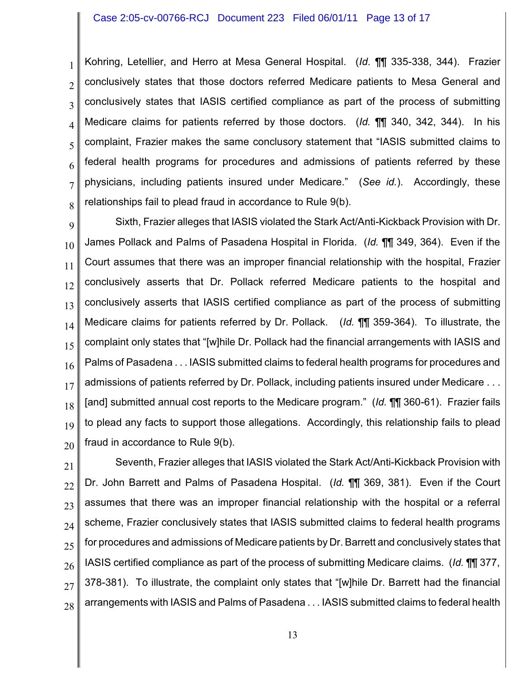1 2 3 4 5 6 7 8 Kohring, Letellier, and Herro at Mesa General Hospital. (*Id.* ¶¶ 335-338, 344). Frazier conclusively states that those doctors referred Medicare patients to Mesa General and conclusively states that IASIS certified compliance as part of the process of submitting Medicare claims for patients referred by those doctors. (*Id.* ¶¶ 340, 342, 344). In his complaint, Frazier makes the same conclusory statement that "IASIS submitted claims to federal health programs for procedures and admissions of patients referred by these physicians, including patients insured under Medicare." (*See id.*). Accordingly, these relationships fail to plead fraud in accordance to Rule 9(b).

9 10 11 12 13 14 15 16 17 18 19 20 Sixth, Frazier alleges that IASIS violated the Stark Act/Anti-Kickback Provision with Dr. James Pollack and Palms of Pasadena Hospital in Florida. (*Id.* ¶¶ 349, 364). Even if the Court assumes that there was an improper financial relationship with the hospital, Frazier conclusively asserts that Dr. Pollack referred Medicare patients to the hospital and conclusively asserts that IASIS certified compliance as part of the process of submitting Medicare claims for patients referred by Dr. Pollack. (*Id.* ¶¶ 359-364). To illustrate, the complaint only states that "[w]hile Dr. Pollack had the financial arrangements with IASIS and Palms of Pasadena . . . IASIS submitted claims to federal health programs for procedures and admissions of patients referred by Dr. Pollack, including patients insured under Medicare ... [and] submitted annual cost reports to the Medicare program." (*Id.* ¶¶ 360-61). Frazier fails to plead any facts to support those allegations. Accordingly, this relationship fails to plead fraud in accordance to Rule 9(b).

21 22 23 24 25 26 27 28 Seventh, Frazier alleges that IASIS violated the Stark Act/Anti-Kickback Provision with Dr. John Barrett and Palms of Pasadena Hospital. (*Id.* ¶¶ 369, 381). Even if the Court assumes that there was an improper financial relationship with the hospital or a referral scheme, Frazier conclusively states that IASIS submitted claims to federal health programs for procedures and admissions of Medicare patients by Dr. Barrett and conclusively states that IASIS certified compliance as part of the process of submitting Medicare claims. (*Id.* ¶¶ 377, 378-381). To illustrate, the complaint only states that "[w]hile Dr. Barrett had the financial arrangements with IASIS and Palms of Pasadena . . . IASIS submitted claims to federal health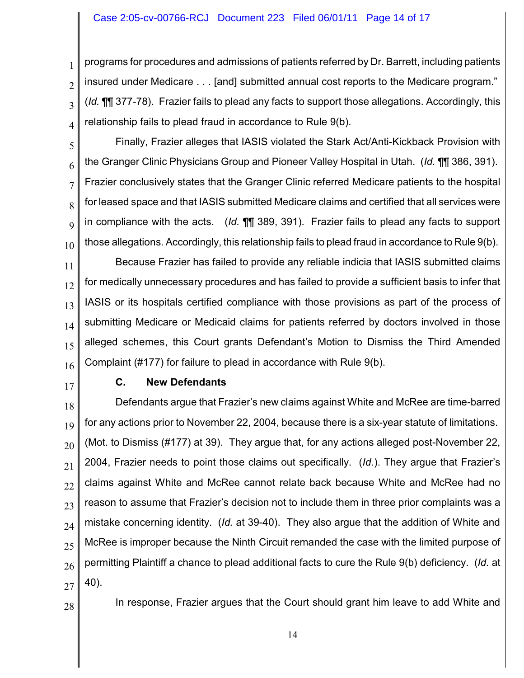programs for procedures and admissions of patients referred by Dr. Barrett, including patients insured under Medicare . . . [and] submitted annual cost reports to the Medicare program." (*Id.* ¶¶ 377-78). Frazier fails to plead any facts to support those allegations. Accordingly, this relationship fails to plead fraud in accordance to Rule 9(b).

4 5

6

7

8

9

10

1

2

3

Finally, Frazier alleges that IASIS violated the Stark Act/Anti-Kickback Provision with the Granger Clinic Physicians Group and Pioneer Valley Hospital in Utah. (*Id.* ¶¶ 386, 391). Frazier conclusively states that the Granger Clinic referred Medicare patients to the hospital for leased space and that IASIS submitted Medicare claims and certified that all services were in compliance with the acts. (*Id.* ¶¶ 389, 391). Frazier fails to plead any facts to support those allegations. Accordingly, this relationship fails to plead fraud in accordance to Rule 9(b).

11 12 13 14 15 16 Because Frazier has failed to provide any reliable indicia that IASIS submitted claims for medically unnecessary procedures and has failed to provide a sufficient basis to infer that IASIS or its hospitals certified compliance with those provisions as part of the process of submitting Medicare or Medicaid claims for patients referred by doctors involved in those alleged schemes, this Court grants Defendant's Motion to Dismiss the Third Amended Complaint (#177) for failure to plead in accordance with Rule 9(b).

17

## **C. New Defendants**

18 19 20 21 22 23 24 25 26 27 Defendants argue that Frazier's new claims against White and McRee are time-barred for any actions prior to November 22, 2004, because there is a six-year statute of limitations. (Mot. to Dismiss (#177) at 39). They argue that, for any actions alleged post-November 22, 2004, Frazier needs to point those claims out specifically. (*Id.*). They argue that Frazier's claims against White and McRee cannot relate back because White and McRee had no reason to assume that Frazier's decision not to include them in three prior complaints was a mistake concerning identity. (*Id.* at 39-40). They also argue that the addition of White and McRee is improper because the Ninth Circuit remanded the case with the limited purpose of permitting Plaintiff a chance to plead additional facts to cure the Rule 9(b) deficiency. (*Id.* at 40).

28

In response, Frazier argues that the Court should grant him leave to add White and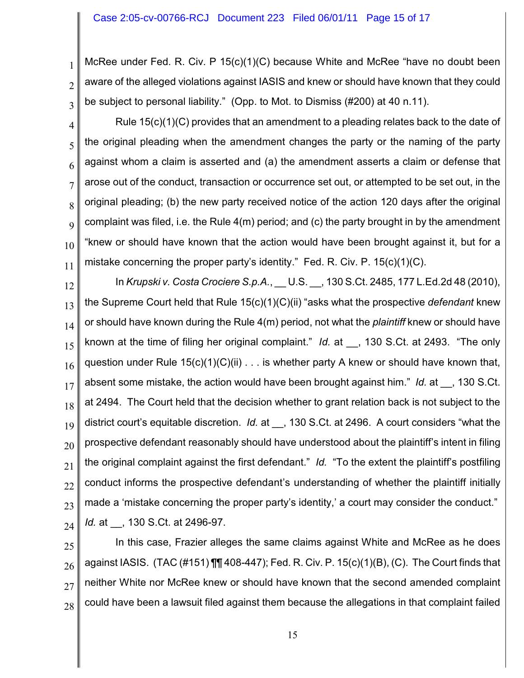1

2

3

McRee under Fed. R. Civ. P 15(c)(1)(C) because White and McRee "have no doubt been aware of the alleged violations against IASIS and knew or should have known that they could be subject to personal liability." (Opp. to Mot. to Dismiss (#200) at 40 n.11).

4 5 6 7 8 9 10 11 Rule  $15(c)(1)(C)$  provides that an amendment to a pleading relates back to the date of the original pleading when the amendment changes the party or the naming of the party against whom a claim is asserted and (a) the amendment asserts a claim or defense that arose out of the conduct, transaction or occurrence set out, or attempted to be set out, in the original pleading; (b) the new party received notice of the action 120 days after the original complaint was filed, i.e. the Rule 4(m) period; and (c) the party brought in by the amendment "knew or should have known that the action would have been brought against it, but for a mistake concerning the proper party's identity." Fed. R. Civ. P. 15(c)(1)(C).

12 13 14 15 16 17 18 19 20 21 22 23 24 In *Krupski v. Costa Crociere S.p.A.*, \_\_ U.S. \_\_, 130 S.Ct. 2485, 177 L.Ed.2d 48 (2010), the Supreme Court held that Rule 15(c)(1)(C)(ii) "asks what the prospective *defendant* knew or should have known during the Rule 4(m) period, not what the *plaintiff* knew or should have known at the time of filing her original complaint." *Id.* at \_\_, 130 S.Ct. at 2493. "The only question under Rule  $15(c)(1)(C)(ii) \ldots$  is whether party A knew or should have known that, absent some mistake, the action would have been brought against him." *Id.* at \_\_, 130 S.Ct. at 2494. The Court held that the decision whether to grant relation back is not subject to the district court's equitable discretion. *Id.* at  $\phantom{0}$ , 130 S.Ct. at 2496. A court considers "what the prospective defendant reasonably should have understood about the plaintiff's intent in filing the original complaint against the first defendant." *Id.* "To the extent the plaintiff's postfiling conduct informs the prospective defendant's understanding of whether the plaintiff initially made a 'mistake concerning the proper party's identity,' a court may consider the conduct." *Id.* at \_\_, 130 S.Ct. at 2496-97.

25 26 27 28 In this case, Frazier alleges the same claims against White and McRee as he does against IASIS. (TAC (#151) ¶¶ 408-447); Fed. R. Civ. P. 15(c)(1)(B), (C). The Court finds that neither White nor McRee knew or should have known that the second amended complaint could have been a lawsuit filed against them because the allegations in that complaint failed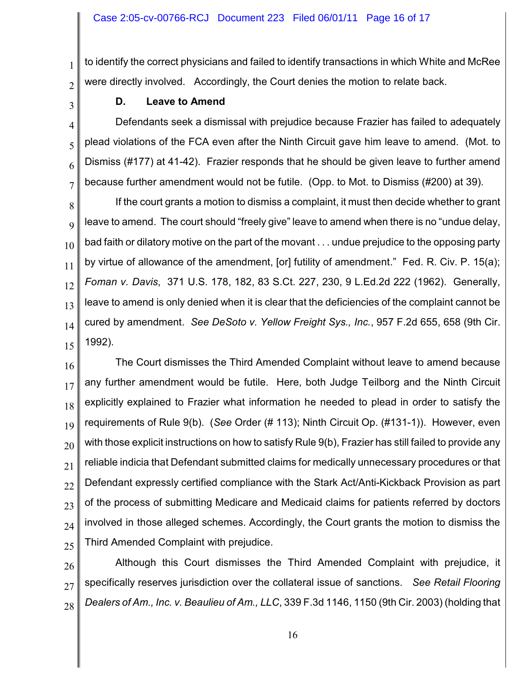to identify the correct physicians and failed to identify transactions in which White and McRee were directly involved. Accordingly, the Court denies the motion to relate back.

2 3

4

5

6

7

1

## **D. Leave to Amend**

Defendants seek a dismissal with prejudice because Frazier has failed to adequately plead violations of the FCA even after the Ninth Circuit gave him leave to amend. (Mot. to Dismiss (#177) at 41-42). Frazier responds that he should be given leave to further amend because further amendment would not be futile. (Opp. to Mot. to Dismiss (#200) at 39).

8 9 10 11 12 13 14 15 If the court grants a motion to dismiss a complaint, it must then decide whether to grant leave to amend. The court should "freely give" leave to amend when there is no "undue delay, bad faith or dilatory motive on the part of the movant . . . undue prejudice to the opposing party by virtue of allowance of the amendment, [or] futility of amendment." Fed. R. Civ. P. 15(a); *Foman v. Davis*, 371 U.S. 178, 182, 83 S.Ct. 227, 230, 9 L.Ed.2d 222 (1962). Generally, leave to amend is only denied when it is clear that the deficiencies of the complaint cannot be cured by amendment. *See DeSoto v. Yellow Freight Sys., Inc.*, 957 F.2d 655, 658 (9th Cir. 1992).

16 17 18 19 20 21 22 23 24 25 The Court dismisses the Third Amended Complaint without leave to amend because any further amendment would be futile. Here, both Judge Teilborg and the Ninth Circuit explicitly explained to Frazier what information he needed to plead in order to satisfy the requirements of Rule 9(b). (*See* Order (# 113); Ninth Circuit Op. (#131-1)). However, even with those explicit instructions on how to satisfy Rule 9(b), Frazier has still failed to provide any reliable indicia that Defendant submitted claims for medically unnecessary procedures or that Defendant expressly certified compliance with the Stark Act/Anti-Kickback Provision as part of the process of submitting Medicare and Medicaid claims for patients referred by doctors involved in those alleged schemes. Accordingly, the Court grants the motion to dismiss the Third Amended Complaint with prejudice.

26 27 28 Although this Court dismisses the Third Amended Complaint with prejudice, it specifically reserves jurisdiction over the collateral issue of sanctions. *See Retail Flooring Dealers of Am., Inc. v. Beaulieu of Am., LLC*, 339 F.3d 1146, 1150 (9th Cir. 2003) (holding that